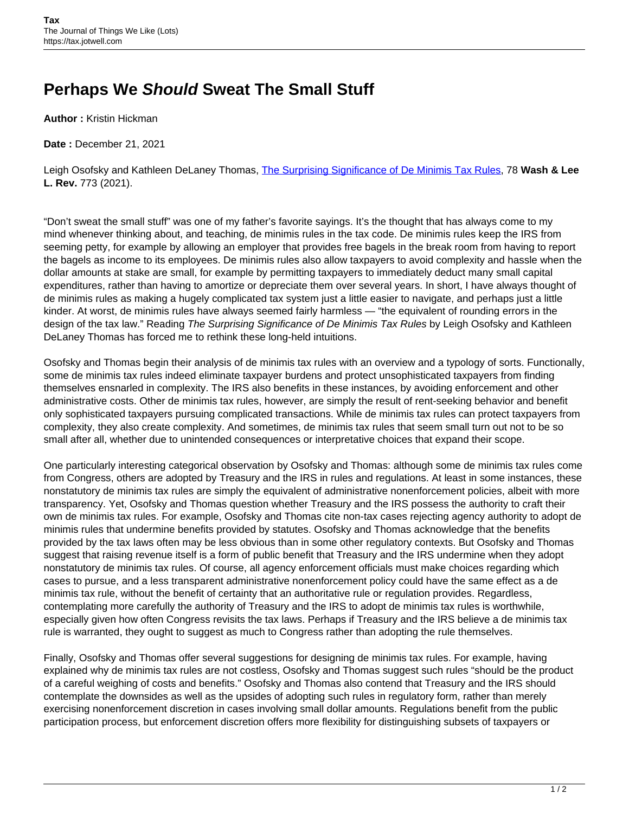## **Perhaps We Should Sweat The Small Stuff**

**Author :** Kristin Hickman

**Date :** December 21, 2021

Leigh Osofsky and Kathleen DeLaney Thomas, [The Surprising Significance of De Minimis Tax Rules,](https://scholarlycommons.law.wlu.edu/cgi/viewcontent.cgi?article=4726&context=wlulr) 78 **Wash & Lee L. Rev.** 773 (2021).

"Don't sweat the small stuff" was one of my father's favorite sayings. It's the thought that has always come to my mind whenever thinking about, and teaching, de minimis rules in the tax code. De minimis rules keep the IRS from seeming petty, for example by allowing an employer that provides free bagels in the break room from having to report the bagels as income to its employees. De minimis rules also allow taxpayers to avoid complexity and hassle when the dollar amounts at stake are small, for example by permitting taxpayers to immediately deduct many small capital expenditures, rather than having to amortize or depreciate them over several years. In short, I have always thought of de minimis rules as making a hugely complicated tax system just a little easier to navigate, and perhaps just a little kinder. At worst, de minimis rules have always seemed fairly harmless — "the equivalent of rounding errors in the design of the tax law." Reading The Surprising Significance of De Minimis Tax Rules by Leigh Osofsky and Kathleen DeLaney Thomas has forced me to rethink these long-held intuitions.

Osofsky and Thomas begin their analysis of de minimis tax rules with an overview and a typology of sorts. Functionally, some de minimis tax rules indeed eliminate taxpayer burdens and protect unsophisticated taxpayers from finding themselves ensnarled in complexity. The IRS also benefits in these instances, by avoiding enforcement and other administrative costs. Other de minimis tax rules, however, are simply the result of rent-seeking behavior and benefit only sophisticated taxpayers pursuing complicated transactions. While de minimis tax rules can protect taxpayers from complexity, they also create complexity. And sometimes, de minimis tax rules that seem small turn out not to be so small after all, whether due to unintended consequences or interpretative choices that expand their scope.

One particularly interesting categorical observation by Osofsky and Thomas: although some de minimis tax rules come from Congress, others are adopted by Treasury and the IRS in rules and regulations. At least in some instances, these nonstatutory de minimis tax rules are simply the equivalent of administrative nonenforcement policies, albeit with more transparency. Yet, Osofsky and Thomas question whether Treasury and the IRS possess the authority to craft their own de minimis tax rules. For example, Osofsky and Thomas cite non-tax cases rejecting agency authority to adopt de minimis rules that undermine benefits provided by statutes. Osofsky and Thomas acknowledge that the benefits provided by the tax laws often may be less obvious than in some other regulatory contexts. But Osofsky and Thomas suggest that raising revenue itself is a form of public benefit that Treasury and the IRS undermine when they adopt nonstatutory de minimis tax rules. Of course, all agency enforcement officials must make choices regarding which cases to pursue, and a less transparent administrative nonenforcement policy could have the same effect as a de minimis tax rule, without the benefit of certainty that an authoritative rule or regulation provides. Regardless, contemplating more carefully the authority of Treasury and the IRS to adopt de minimis tax rules is worthwhile, especially given how often Congress revisits the tax laws. Perhaps if Treasury and the IRS believe a de minimis tax rule is warranted, they ought to suggest as much to Congress rather than adopting the rule themselves.

Finally, Osofsky and Thomas offer several suggestions for designing de minimis tax rules. For example, having explained why de minimis tax rules are not costless, Osofsky and Thomas suggest such rules "should be the product of a careful weighing of costs and benefits." Osofsky and Thomas also contend that Treasury and the IRS should contemplate the downsides as well as the upsides of adopting such rules in regulatory form, rather than merely exercising nonenforcement discretion in cases involving small dollar amounts. Regulations benefit from the public participation process, but enforcement discretion offers more flexibility for distinguishing subsets of taxpayers or